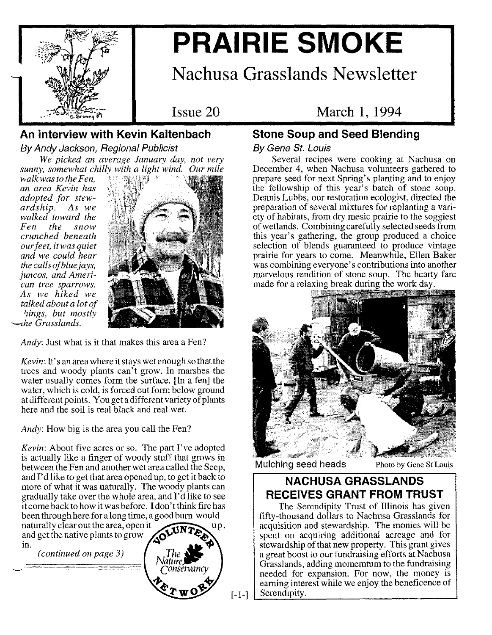

# **PRAIRIE SMOKE**

## **Nachusa Grasslands Newsletter**

Issue 20

## March 1, 1994

## **An interview with Kevin Kaltenbach**

By *Andy Jackson, Regional Publicist We picked an average January day, not very*

*walk was to the Fen, an area Kevin has adopted for stewardship. As we walked toward the Fen the snow crunched beneath ourfeet, it was quiet and we could hear the calls of bluejays, juncos, and American tree sparrows. As we hiked we talked about a lot of hings, but mostly '-the Grasslands.*



*Andy:* Just what is it that makes this area a Fen?

*Kevin:* It's an area where it stays wet enough so that the trees and woody plants can't grow. In marshes the water usually comes form the surface. [In a fen] the water, which is cold, is forced out form below ground at different points. You get a different variety of plants here and the soil is real black and real wet.

*Andy:* How big is the area you call the Fen?

*Kevin:* About five acres or so. The part I've adopted is actually like a finger of woody stuff that grows in between the Fen and another wet area called the Seep, and I'd like to get that area opened up, to get it back to more of what it was naturally. The woody plants can gradually take over the whole area, and I'd like to see it come back to how it was before. I don't think fire has been through here for a long time, a good burn would

naturally clear out the area, open it  $\sqrt{t}$  up, and get the native plants to grow in.

 $(continued on page 3)$ 



 $[-1-]$ 

## **Stone Soup and Seed Blending**

#### By *Gene St. Louis*

Several recipes were cooking at Nachusa on December 4, when Nachusa volunteers gathered to prepare seed for next Spring's planting and to enjoy the fellowship of this year's batch of stone soup. Dennis Lubbs, our restoration ecologist, directed the preparation of several mixtures for replanting a variety of habitats, from dry mesic prairie to the soggiest of wetlands. Combining carefully selected seeds from this year's gathering, the group produced a choice selection of blends guaranteed to produce vintage prairie for years to come. Meanwhile, Ellen Baker was combining everyone's contributions into another marvelous rendition of stone soup. The hearty fare made for a relaxing break during the work day.



Mulching seed heads Photo by Gene St Louis

## **NACHUSA GRASSLANDS RECEIVES GRANT FROM TRUST**

The Serendipity Trust of Illinois has given fifty-thousand dollars to Nachusa Grasslands for acquisition and stewardship. The monies will be spent on acquiring additional acreage and for stewardship of that new property. This grant gives a great boost to our fundraising efforts at Nachusa Grasslands, adding momemtum to the fundraising needed for expansion. For now, the money is earning interest while we enjoy the beneficence of Serendipity.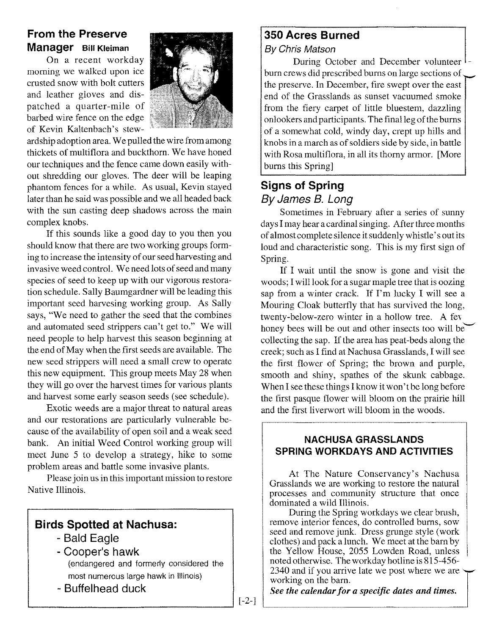### **From the Preserve Manager** Bill Kleiman

On a recent workday morning we walked upon ice crusted snow with bolt cutters and leather gloves and dispatched a quarter-mile of barbed wire fence on the edge of Kevin Kaltenbach's stew-



ardship adoption area. We pulled the wire from among thickets of multiflora and buckthorn. We have honed our techniques and the fence came down easily without shredding our gloves. The deer will be leaping phantom fences for a while. As usual, Kevin stayed later than he said was possible and we all headed back with the sun casting deep shadows across the main complex knobs.

If this sounds like a good day to you then you should know that there are two working groups forming to increase the intensity of our seed harvesting and invasive weed control. We need lots of seed and many species of seed to keep up with our vigorous restoration schedule. Sally Baumgardner will be leading this important seed harvesing working group. As Sally says, "We need to gather the seed that the combines and automated seed strippers can't get to." We will need people to help harvest this season beginning at the end of May when the first seeds are available. The new seed strippers will need a small crew to operate this new equipment. This group meets May 28 when they will go over the harvest times for various plants and harvest some early season seeds (see schedule).

Exotic weeds are a major threat to natural areas and our restorations are particularly vulnerable because of the availability of open soil and a weak seed bank. An initial Weed Control working group will meet June 5 to develop a strategy, hike to some problem areas and battle some invasive plants.

Please join us in this important mission to restore Native Illinois.

### **Birds Spotted at Nachusa:**

- Bald Eagle
- Cooper's hawk (endangered and formerly considered the most numerous large hawk in Illinois)
- Buffelhead duck

#### **350 Acres Burned** *By Chris Matson*

During October and December volunteer burn crews did prescribed burns on large sections of the preserve. In December, fire swept over the east end of the Grasslands as sunset vacuumed smoke from the fiery carpet of little bluestem, dazzling onlookers and participants. The final leg of the burns of a somewhat cold, windy day, crept up hills and knobs in a march as of soldiers side by side, in battle with Rosa multiflora, in all its thorny armor. [More burns this Spring]

## **Signs of Spring** *By James B. Long*

Sometimes in February after a series of sunny days I may hear a cardinal singing. After three months of almost complete silence it suddenly whistle's out its loud and characteristic song. This is my first sign of Spring.

If I wait until the snow is gone and visit the woods; I will look for a sugar maple tree that is oozing sap from a winter crack. If I'm lucky I will see a Mouring Cloak butterfly that has survived the long, twenty-below-zero winter in a hollow tree. A fev honey bees will be out and other insects too will be collecting the sap. If the area has peat-beds along the creek; such as I find at Nachusa Grasslands, I will see the first flower of Spring; the brown and purple, smooth and shiny, spathes of the skunk cabbage. When I see these things I know it won't be long before the first pasque flower will bloom on the prairie hill and the first liverwort will bloom in the woods.

#### NACHUSA GRASSLANDS **SPRING WORKDAYS AND ACTIVITIES**

At The Nature Conservancy's Nachusa Grasslands we are working to restore the natural processes and community structure that once dominated a wild Illinois.

During the Spring workdays we clear brush, remove interior fences, do controlled burns, sow seed and remove junk. Dress grunge style (work clothes) and pack a lunch. We meet at the barn by the Yellow House, 2055 Lowden Road, unless noted otherwise. The workday hotline is 815-456- 2340 and if you arrive late we post where we are  $\sim$ working on the barn.

*See the calendar for a specific dates and times.*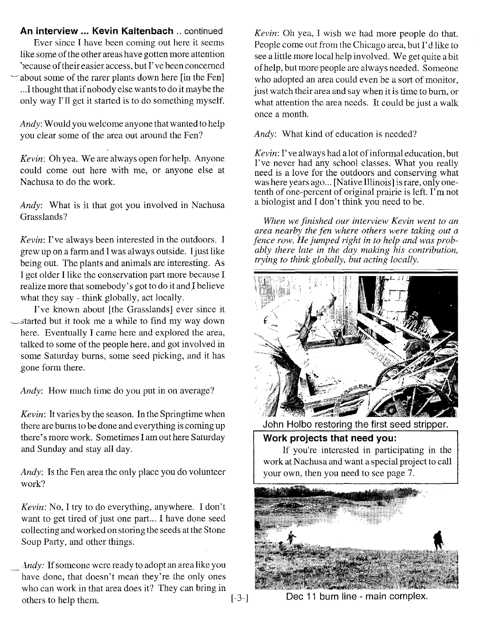**An interview ... Kevin Kaltenbach ..** continued Ever since I have been coming out here it seems like some of the other areas have gotten more attention 'Jecause of their easier access, but I've been concerned about some of the rarer plants down here [in the Fen] ...Ithought that if nobody else wants to do it maybe the only way I'll get it started is to do something myself.

*Andy:* Would you welcome anyone that wanted to help you clear some of the area out around the Fen?

*Kevin:* Oh yea. We are always open for help. Anyone could come out here with me, or anyone else at Nachusa to do the work.

*Andy:* What is it that got you involved in Nachusa Grasslands?

*Kevin:* I've always been interested in the outdoors. I grew up on a farm and I was always outside. Ijust like being out. The plants and animals are interesting. As I get older I like the conservation part more because I realize more that somebody' <sup>s</sup> got to do it and Ibelieve what they say - think globally, act locally.

I've known about [the Grasslands] ever since it ~~tarted but it took me a while to find my way down here. Eventually I came here and explored the area, talked to some of the people here, and got involved in some Saturday bums, some seed picking, and it has gone form there.

*Andy:* How much time do you put in on average?

*Kevin:* It varies by the season. In the Springtime when there are bums to be done and everything is coming up there's more work. Sometimes I am out here Saturday and Sunday and stay all day.

*Andy:* Is the Fen area the only place you do volunteer work?

*Kevin:* No, I try to do everything, anywhere. I don't want to get tired of just one part... I have done seed collecting and worked on storing the seeds at the Stone Soup Party, and other things.

*Andy:* If someone were ready to adopt an area like you have done, that doesn't mean they're the only ones who can work in that area does it? They can bring in others to help them. [-3-]

*Kevin:* Oh yea, I wish we had more people do that. People come out from the Chicago area, but I'd like to see a little more local help involved. We get quite a bit of help, but more people are always needed. Someone who adopted an area could even be a sort of monitor, just watch their area and say when it is time to bum, or what attention the area needs. It could be just a walk once a month.

*Andy:* What kind of education is needed?

*Kevin:* I've always had a lot of informal education, but I've never had any school classes. What you really need is a love for the outdoors and conserving what was here years ago... [Native Illinois] is rare, only onetenth of one-percent of original prairie is left. I'm not a biologist and I don't think you need to be.

*When we finished our interview Kevin went to an area nearby the fen where others were taking out a fence row. He jumped right in to help and was probably there late in the day making his contribution, trying to think globally, but acting locally.*



John Holbo restoring the first seed stripper.

**Work projects that need you:**

If you're interested in participating in the work at Nachusa and want a special project to call your own, then you need to see page 7.



Dec 11 burn line - main complex.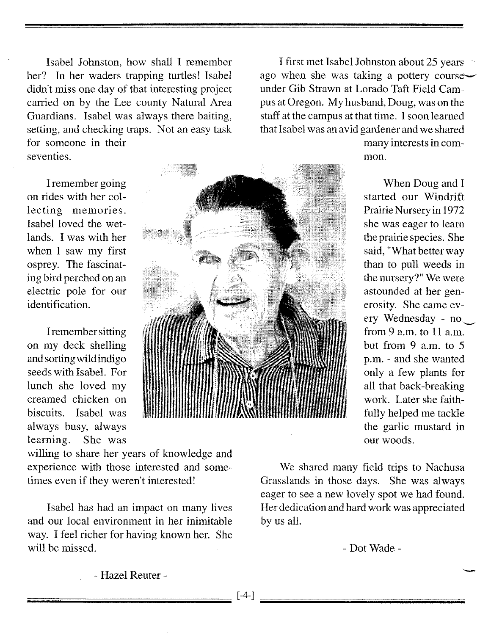Isabel Johnston, how shall I remember her? In her waders trapping turtles! Isabel didn't miss one day of that interesting project carried on by the Lee county Natural Area Guardians. Isabel was always there baiting, setting, and checking traps. Not an easy task for someone in their seventies.

I remember going on rides with her collecting memories. Isabel loved the wetlands. I was with her when I saw my first osprey. The fascinating bird perched on an electric pole for our identification.

Iremember sitting on my deck shelling and sorting wild indigo seeds with Isabel. For lunch she loved my creamed chicken on biscuits. Isabel was always busy, always learning. She was



willing to share her years of knowledge and experience with those interested and sometimes even if they weren't interested!

Isabel has had an impact on many lives and our local environment in her inimitable way. I feel richer for having known her. She will be missed.

I first met Isabel Johnston about 25 years ago when she was taking a pottery course $\sim$ under Gib Strawn at Lorado Taft Field Campus at Oregon. My husband, Doug, was on the staff at the campus at that time. I soon learned that Isabel was an avid gardener and we shared

> many interests in common.

When Doug and I started our Windrift Prairie Nursery in 1972 she was eager to learn the prairie species. She said, "What better way than to pull weeds in the nursery?" We were astounded at her generosity. She came every Wednesday - no from 9 a.m. to 11 a.m. but from 9 a.m. to 5 p.m. - and she wanted only a few plants for all that back-breaking work. Later she faithfully helped me tackle the garlic mustard in our woods.

We shared many field trips to Nachusa Grasslands in those days. She was always eager to see a new lovely spot we had found. Her dedication and hard work was appreciated by us all.

- Dot Wade -

- Hazel Reuter -

 $[-4-]$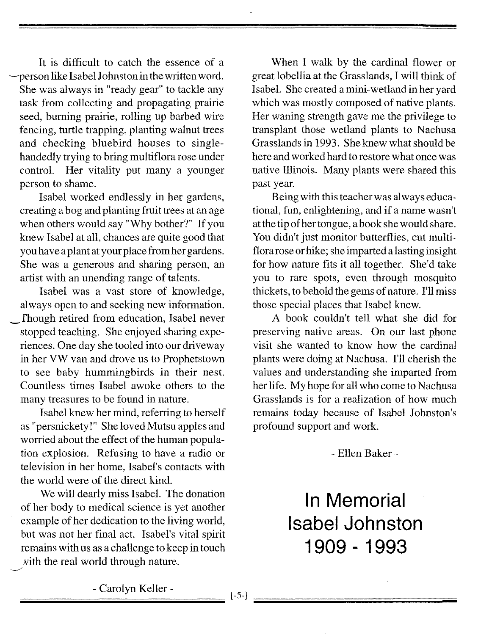It is difficult to catch the essence of a -person like Isabel Johnston in the written word. She was always in "ready gear" to tackle any task from collecting and propagating prairie seed, burning prairie, rolling up barbed wire fencing, turtle trapping, planting walnut trees and checking bluebird houses to singlehandedly trying to bring multiflora rose under control. Her vitality put many a younger person to shame.

Isabel worked endlessly in her gardens, creating a bog and planting fruit trees at an age when others would say "Why bother?" If you knew Isabel at all, chances are quite good that you have a plant at your place from her gardens. She was a generous and sharing person, an artist with an unending range of talents.

Isabel was a vast store of knowledge, always open to and seeking new information. \_fhough retired from education, Isabel never stopped teaching. She enjoyed sharing experiences. One day she tooled into our driveway in her VW van and drove us to Prophetstown to see baby hummingbirds in their nest. Countless times Isabel awoke others to the many treasures to be found in nature.

Isabel knew her mind, referring to herself as "persnickety!" She loved Mutsu apples and worried about the effect of the human population explosion. Refusing to have a radio or television in her home, Isabel's contacts with the world were of the direct kind.

We will dearly miss Isabel. The donation of her body to medical science is yet another example of her dedication to the living world, but was not her final act. Isabel's vital spirit remains with us as a challenge to keep in touch vith the real world through nature.

-/

When I walk by the cardinal flower or great lobellia at the Grasslands, I will think of Isabel. She created a mini-wetland in her yard which was mostly composed of native plants. Her waning strength gave me the privilege to transplant those wetland plants to Nachusa Grasslands in 1993. She knew what should be here and worked hard to restore what once was native Illinois. Many plants were shared this past year.

Being with this teacher was always educational, fun, enlightening, and if a name wasn't at the tip of her tongue, a book she would share. You didn't just monitor butterflies, cut multiflora rose or hike; she imparted a lasting insight for how nature fits it all together. She'd take you to rare spots, even through mosquito thickets, to behold the gems of nature. I'll miss those special places that Isabel knew.

A book couldn't tell what she did for preserving native areas. On our last phone visit she wanted to know how the cardinal plants were doing at Nachusa. I'll cherish the values and understanding she imparted from her life. My hope for all who come to Nachusa Grasslands is for a realization of how much remains today because of Isabel Johnston's profound support and work.

- Ellen Baker -

**In Memorial Isabel Johnston 1909 - 1993**

;;;;;;;;;;;;;;;;;;;;;;;;;;;;;;;;;;;;;;;;;;;;;;;;- ;;;;C;;;;a;;;;ro;;;;l;;;;yn;;;;;;;;K;;;;e;;;;ll;;;;er;;;;-;;;;;;;;;;;;;;;;;;;;;;;;~ [-5-]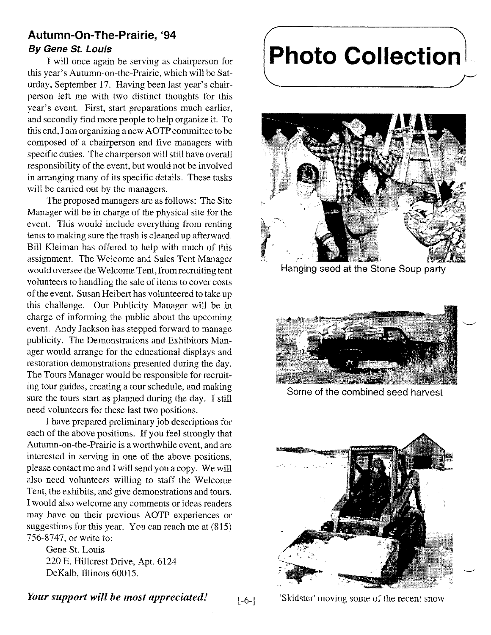## **Autumn-On- The-Prairie, '94**

#### *By Gene* **St.** *Louis*

I will once again be serving as chairperson for this year's Autumn-on-the-Prairie, which will be Saturday, September 17. Having been last year's chairperson left me with two distinct thoughts for this year's event. First, start preparations much earlier, and secondly find more people to help organize it. To this end, I am organizing a new AOTP committee to be composed of a chairperson and five managers with specific duties. The chairperson will still have overall responsibility of the event, but would not be involved in arranging many of its specific details. These tasks will be carried out by the managers.

The proposed managers are as follows: The Site Manager will be in charge of the physical site for the event. This would include everything from renting tents to making sure the trash is cleaned up afterward. Bill Kleiman has offered to help with much of this assignment. The Welcome and Sales Tent Manager would oversee the Welcome Tent, from recruiting tent volunteers to handling the sale of items to cover costs of the event. Susan Heibert has volunteered to take up this challenge. Our Publicity Manager will be in charge of informing the public about the upcoming event. Andy Jackson has stepped forward to manage publicity. The Demonstrations and Exhibitors Manager would arrange for the educational displays and restoration demonstrations presented during the day. The Tours Manager would be responsible for recruiting tour guides, creating a tour schedule, and making sure the tours start as planned during the day. I still need volunteers for these last two positions.

I have prepared preliminary job descriptions for each of the above positions. If you feel strongly that Autumn-on-the-Prairie is a worthwhile event, and are interested in serving in one of the above positions, please contact me and I will send you a copy. We will also need volunteers willing to staff the Welcome Tent, the exhibits, and give demonstrations and tours. I would also welcome any comments or ideas readers may have on their previous AOTP experiences or suggestions for this year. You can reach me at (815) 756-8747, or write to:

Gene St. Louis 220 E. Hillcrest Drive, Apt. 6124 DeKalb, Illinois 60015.

#### *Your support will be most appreciated!* [-6-]

**Photo Collection**



Hanging seed at the Stone Soup party



Some of the combined seed harvest



'Skidster' moving some of the recent snow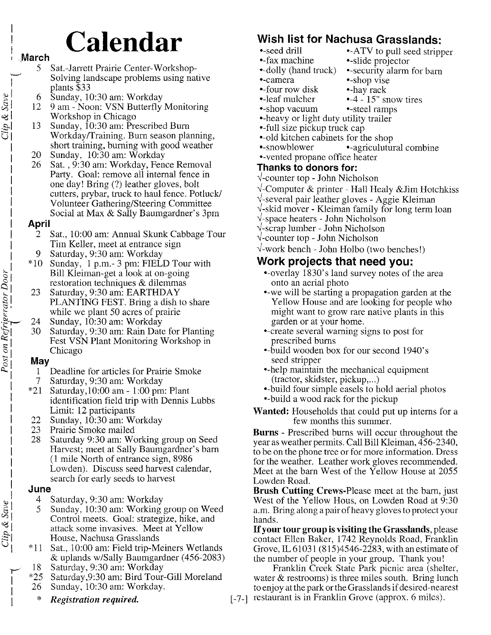# **Calendar**

- **March** 
	- 5 Sat.-Jarrett Prairie Center-Workshop-<br>Solving landscape problems using native plants \$33
	-
	- 12 9 am Noon: VSN Butterfly Monitoring v Workshop in Chicago
- example 12<br>  $\begin{array}{r} 6 \overline{\smash) } & 6 \overline{\smash) } & 12 \overline{\smash) } & 9 \text{ am Noon: VSN Butterfly} \\ 12 \overline{\smash) } & 9 \text{ am Noon: VSN Butterfly} \\ \hline \end{array}$  Workshop in Chicago<br>
13 Sunday, 10:30 am: Prescribe<br>
Workday/Training. Burn sea 13 Sunday, 10:30 am: Prescribed Burn Workday/Training. Burn season planning, short training, burning with good weather
	- I 20 Sunday, 10:30 am: Workday
	- 26 Sat., 9:30 am: Workday, Fence Removal Party. Goal: remove all internal fence in one day! Bring (?) leather gloves, bolt cutters, prybar, truck to haul fence. Potluck/ I Volunteer Gathering/Steering Committee Social at Max & Sally Baumgardner's 3pm

#### I **April**

- 2 Sat., 10:00 am: Annual Skunk Cabbage Tour Tim Keller, meet at entrance sign I 9 Saturday, 9:30 am: Workday
- I \*10 Sunday, 1 p.m.- 3 pm: FIELD Tour with restoration techniques  $&$  dilemmas
- Bill Kleiman-get a look at on-going<br>restoration techniques & dilemmas<br>23 Saturday, 9:30 am: EARTHDAY<br>PLANTING FEST. Bring a dish to<br>while we plant 50 acres of prairie<br>24 Sunday, 10:30 am: Workday<br>30 Saturday, 9:30 am: Rain 23 Saturday, 9:30 am: EARTHDAY PLANTING FEST. Bring a dish to share while we plant 50 acres of prairie
	- 24 Sunday, 10:30 am: Workday
	- ~I 30 Saturday, 9:30 am: Rain Date for Planting Fest VSN Plant Monitoring Workshop in Chicago

## 61 **May**

- Deadline for articles for Prairie Smoke 7 Saturday, 9:30 am: Workday
- $*21$  Saturday, 10:00 am 1:00 pm: Plant identification field trip with Dennis Lubbs Limit: 12 participants
- 22 Sunday, 10:30 am: Workday
- 23 Prairie Smoke mailed
- 28 Saturday 9:30 am: Working group on Seed Harvest; meet at Sally Baumgardner's barn I (l mile North of entrance sign, 8986 Lowden). Discuss seed harvest calendar, search for early seeds to harvest

#### I **June**

- 
- $\begin{array}{c|l}\n\downarrow & 4 & \text{Saturday, 9:30 am: Workday} \\
\downarrow & 5 & \text{Sunday, 10:30 am: Working} \\
\downarrow & \text{Control meets. Goal: strategy} \\
\downarrow & \downarrow & \text{State} \\
\downarrow & \uparrow & \text{House, Nachusa Grasslands} \\
\downarrow & *11 & \text{Sat 10:00 am: Field trip-Me}\n\end{array}$ Sunday, 10:30 am: Working group on Weed Control meets. Goal: strategize, hike, and attack some invasives. Meet at Yellow 21 House, Nachusa Grasslands
	- \*11 Sat., 10:00 am: Field trip-Meiners Wetlands & uplands w/Sally Baumgardner (456-2083)
	- 18 Saturday, 9:30 am: Workday
	- I \*25 Saturday,9:30 am: Bird Tour-Gill Moreland 26 Sunday, 10:30 am: Workday.
		- I \* *Registration required.*

## **Wish list for Nachusa Grasslands:**

- •-seed drill •-ATV to pull seed stripper
- fax machine slide projector
- •-dolly (hand truck) •-security alarm for barn
- •-camera •-shop vise
- •-four row disk •-hay rack
- $\bullet$ -leaf mulcher  $\bullet$ -4 15" snow tires
	-
- •-shop vacuum •-steel ramps
- --heavy or light duty utility trailer
- =-full size pickup truck cap
- old kitchen cabinets for the shop
- •-snowblower •-agriculutural combine
- <vented propane office heater

#### **Thanks to donors for:**

- ~-counter top John Nicholson
- ~-Computer & printer Hall Healy &Jim Hotchkiss
- ~-several pair leather gloves Aggie Kleiman
- ~-skid mover Kleiman family for long term loan
- ~-space heaters John Nicholson
- ~-scrap lumber John Nicholson
- ~-counter top John Nicholson
- ~-work bench John Holbo (two benches!)

#### **Work projects that need yOU:**

- =overlay 1830' s land survey notes of the area onto an aerial photo
- =we will be starting a propagation garden at the Yellow House and are looking for people who might want to grow rare native plants in this garden or at your home.
- create several warning signs to post for prescribed bums
- build wooden box for our second 1940's seed stripper
- •-help maintain the mechanical equipment (tractor, skidster, pickup,...)
- build four simple easels to hold aerial photos •-build a wood rack for the pickup
- **Wanted:** Households that could put up interns for a few months this summer.

**Burns -** Prescribed bums will occur throughout the year as weather permits. Call Bill Kleiman, 456-2340, to be on the phone tree or for more information. Dress for the weather. Leather work gloves recommended. Meet at the barn West of the Yellow House at 2055 Lowden Road.

**Brush Cutting** Crews-Please meet at the barn, just West of the Yellow Hous, on Lowden Road at 9:30 a.m. Bring along a pair of heavy gloves to protect your hands.

If your **tour group is visiting the Grasslands,** please contact Ellen Baker, 1742 Reynolds Road, Franklin Grove, IL 61031 (815)4546-2283, with an estimate of the number of people in your group. Thank you!

Franklin Creek State Park picnic area (shelter, water  $\&$  restrooms) is three miles south. Bring lunch to enjoy at the park or the Grasslands if desired-nearest [-7-] restaurant is in Franklin Grove (approx. 6 miles).